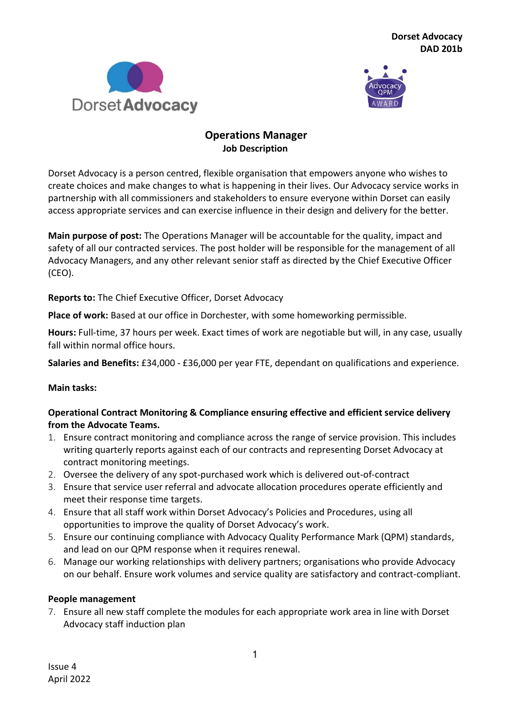



# **Operations Manager Job Description**

Dorset Advocacy is a person centred, flexible organisation that empowers anyone who wishes to create choices and make changes to what is happening in their lives. Our Advocacy service works in partnership with all commissioners and stakeholders to ensure everyone within Dorset can easily access appropriate services and can exercise influence in their design and delivery for the better.

**Main purpose of post:** The Operations Manager will be accountable for the quality, impact and safety of all our contracted services. The post holder will be responsible for the management of all Advocacy Managers, and any other relevant senior staff as directed by the Chief Executive Officer (CEO).

**Reports to:** The Chief Executive Officer, Dorset Advocacy

**Place of work:** Based at our office in Dorchester, with some homeworking permissible.

**Hours:** Full-time, 37 hours per week. Exact times of work are negotiable but will, in any case, usually fall within normal office hours.

**Salaries and Benefits:** £34,000 - £36,000 per year FTE, dependant on qualifications and experience.

## **Main tasks:**

# **Operational Contract Monitoring & Compliance ensuring effective and efficient service delivery from the Advocate Teams.**

- 1. Ensure contract monitoring and compliance across the range of service provision. This includes writing quarterly reports against each of our contracts and representing Dorset Advocacy at contract monitoring meetings.
- 2. Oversee the delivery of any spot-purchased work which is delivered out-of-contract
- 3. Ensure that service user referral and advocate allocation procedures operate efficiently and meet their response time targets.
- 4. Ensure that all staff work within Dorset Advocacy's Policies and Procedures, using all opportunities to improve the quality of Dorset Advocacy's work.
- 5. Ensure our continuing compliance with Advocacy Quality Performance Mark (QPM) standards, and lead on our QPM response when it requires renewal.
- 6. Manage our working relationships with delivery partners; organisations who provide Advocacy on our behalf. Ensure work volumes and service quality are satisfactory and contract-compliant.

#### **People management**

7. Ensure all new staff complete the modules for each appropriate work area in line with Dorset Advocacy staff induction plan